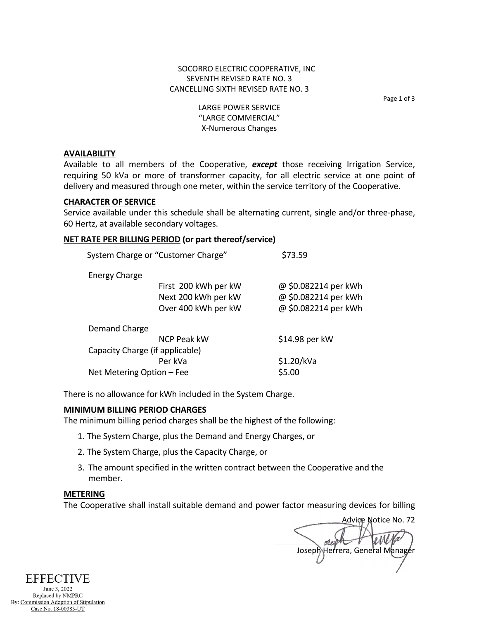Page 1 of 3

LARGE POWER SERVICE "LARGE COMMERCIAL" X-Numerous Changes

### **AVAILABILITY**

Available to all members of the Cooperative, *except* those receiving Irrigation Service, requiring 50 kVa or more of transformer capacity, for all electric service at one point of delivery and measured through one meter, within the service territory of the Cooperative.

## **CHARACTER OF SERVICE**

Service available under this schedule shall be alternating current, single and/or three-phase, 60 Hertz, at available secondary voltages.

## **NET RATE PER BILLING PERIOD (or part thereof/service)**

| System Charge or "Customer Charge" |                                 | \$73.59              |
|------------------------------------|---------------------------------|----------------------|
| <b>Energy Charge</b>               |                                 |                      |
|                                    | First 200 kWh per kW            | @ \$0.082214 per kWh |
|                                    | Next 200 kWh per kW             | @ \$0.082214 per kWh |
|                                    | Over 400 kWh per kW             | @ \$0.082214 per kWh |
| Demand Charge                      |                                 |                      |
|                                    | <b>NCP Peak kW</b>              | \$14.98 per kW       |
|                                    | Capacity Charge (if applicable) |                      |
|                                    | Per kVa                         | \$1.20/kVa           |
| Net Metering Option - Fee          |                                 | \$5.00               |
|                                    |                                 |                      |

There is no allowance for kWh included in the System Charge.

# **MINIMUM BILLING PERIOD CHARGES**

The minimum billing period charges shall be the highest of the following:

- 1. The System Charge, plus the Demand and Energy Charges, or
- 2. The System Charge, plus the Capacity Charge, or
- 3. The amount specified in the written contract between the Cooperative and the member.

## **METERING**

The Cooperative shall install suitable demand and power factor measuring devices for billing

Advice Notice No. 72 Joseph Herrera, General Manager

**EFFECTIVE** June 3, 2022 Replaced by NMPRC By: Commission Adoption of Stipulation Case No. 18-00383-UT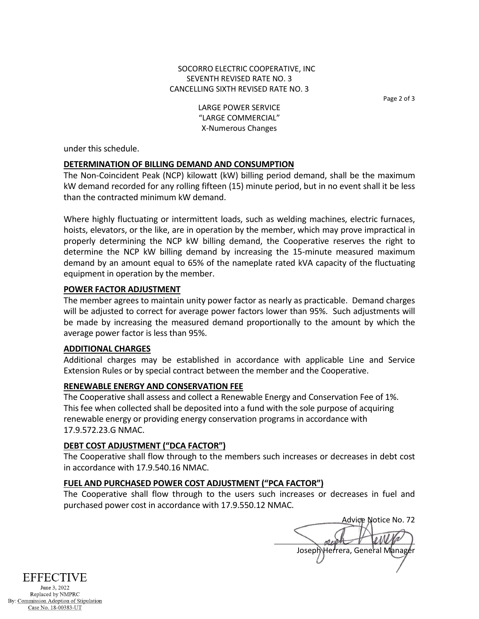Page 2 of 3

LARGE POWER SERVICE "LARGE COMMERCIAL" X-Numerous Changes

under this schedule.

# **DETERMINATION OF BILLING DEMAND AND CONSUMPTION**

The Non-Coincident Peak (NCP) kilowatt (kW) billing period demand, shall be the maximum kW demand recorded for any rolling fifteen (15) minute period, but in no event shall it be less than the contracted minimum kW demand.

Where highly fluctuating or intermittent loads, such as welding machines, electric furnaces, hoists, elevators, or the like, are in operation by the member, which may prove impractical in properly determining the NCP kW billing demand, the Cooperative reserves the right to determine the NCP kW billing demand by increasing the 15-minute measured maximum demand by an amount equal to 65% of the nameplate rated kVA capacity of the fluctuating equipment in operation by the member.

# **POWER FACTOR ADJUSTMENT**

The member agrees to maintain unity power factor as nearly as practicable. Demand charges will be adjusted to correct for average power factors lower than 95%. Such adjustments will be made by increasing the measured demand proportionally to the amount by which the average power factor is less than 95%.

# **ADDITIONAL CHARGES**

Additional charges may be established in accordance with applicable Line and Service Extension Rules or by special contract between the member and the Cooperative.

# **RENEWABLE ENERGY AND CONSERVATION FEE**

The Cooperative shall assess and collect a Renewable Energy and Conservation Fee of 1%. This fee when collected shall be deposited into a fund with the sole purpose of acquiring renewable energy or providing energy conservation programs in accordance with 17.9.572.23.G NMAC.

# **DEBT COST ADJUSTMENT ("DCA FACTOR")**

The Cooperative shall flow through to the members such increases or decreases in debt cost in accordance with 17.9.540.16 NMAC.

# **FUEL AND PURCHASED POWER COST ADJUSTMENT ("PCA FACTOR")**

The Cooperative shall flow through to the users such increases or decreases in fuel and purchased power cost in accordance with 17.9.550.12 NMAC.

Advice Notice No. 72 Joseph Herrera, General Manager



Replaced by NMPRC By: Commission Adoption of Stipulation Case No. 18-00383-UT